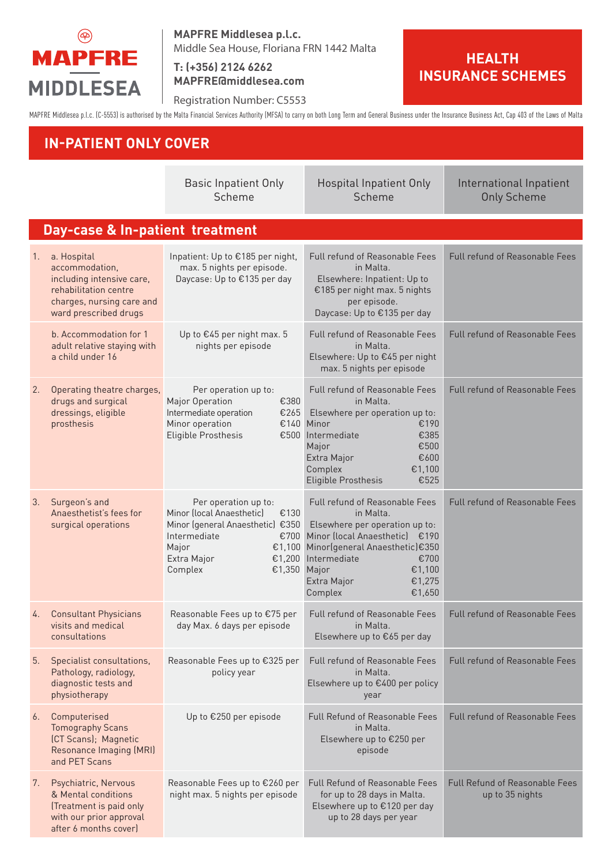

**MAPFRE Middlesea p.l.c.** Middle Sea House, Floriana FRN 1442 Malta

**T: (+356) 2124 6262 MAPFRE@middlesea.com**

Registration Number: C5553

**HEALTH INSURANCE SCHEMES**

MAPFRE Middlesea p.l.c. (C-5553) is authorised by the Malta Financial Services Authority (MFSA) to carry on both Long Term and General Business under the Insurance Business Act, Cap 403 of the Laws of Malta

## **IN-PATIENT ONLY COVER**

|                                 |                                                                                                                                           | <b>Basic Inpatient Only</b><br>Scheme                                                                                                                                              | <b>Hospital Inpatient Only</b><br>Scheme                                                                                                                                                                                                        | International Inpatient<br><b>Only Scheme</b>            |  |  |  |
|---------------------------------|-------------------------------------------------------------------------------------------------------------------------------------------|------------------------------------------------------------------------------------------------------------------------------------------------------------------------------------|-------------------------------------------------------------------------------------------------------------------------------------------------------------------------------------------------------------------------------------------------|----------------------------------------------------------|--|--|--|
| Day-case & In-patient treatment |                                                                                                                                           |                                                                                                                                                                                    |                                                                                                                                                                                                                                                 |                                                          |  |  |  |
| 1.                              | a. Hospital<br>accommodation.<br>including intensive care,<br>rehabilitation centre<br>charges, nursing care and<br>ward prescribed drugs | Inpatient: Up to €185 per night,<br>max. 5 nights per episode.<br>Daycase: Up to €135 per day                                                                                      | Full refund of Reasonable Fees<br>in Malta.<br>Elsewhere: Inpatient: Up to<br>€185 per night max. 5 nights<br>per episode.<br>Daycase: Up to €135 per day                                                                                       | Full refund of Reasonable Fees                           |  |  |  |
|                                 | b. Accommodation for 1<br>adult relative staying with<br>a child under 16                                                                 | Up to €45 per night max. 5<br>nights per episode                                                                                                                                   | <b>Full refund of Reasonable Fees</b><br>in Malta.<br>Elsewhere: Up to €45 per night<br>max. 5 nights per episode                                                                                                                               | <b>Full refund of Reasonable Fees</b>                    |  |  |  |
| 2.                              | Operating theatre charges,<br>drugs and surgical<br>dressings, eligible<br>prosthesis                                                     | Per operation up to:<br>€380<br>Major Operation<br>Intermediate operation<br>€265<br>Minor operation<br>Eligible Prosthesis                                                        | Full refund of Reasonable Fees<br>in Malta.<br>Elsewhere per operation up to:<br>€140 Minor<br>€190<br>€500 Intermediate<br>€385<br>€500<br>Major<br>Extra Major<br>€600<br>Complex<br>€1,100<br><b>Eligible Prosthesis</b><br>€525             | Full refund of Reasonable Fees                           |  |  |  |
| 3.                              | Surgeon's and<br>Anaesthetist's fees for<br>surgical operations                                                                           | Per operation up to:<br>Minor (local Anaesthetic)<br>€130<br>Minor (general Anaesthetic) €350<br>Intermediate<br>€700<br>Major<br>€1,100<br>Extra Major<br>€1,350 Major<br>Complex | <b>Full refund of Reasonable Fees</b><br>in Malta.<br>Elsewhere per operation up to:<br>Minor (local Anaesthetic) €190<br>Minor(general Anaesthetic)€350<br>€1,200 Intermediate<br>€700<br>€1,100<br>Extra Major<br>€1,275<br>Complex<br>€1,650 | Full refund of Reasonable Fees                           |  |  |  |
| 4.                              | <b>Consultant Physicians</b><br>visits and medical<br>consultations                                                                       | Reasonable Fees up to €75 per<br>day Max. 6 days per episode                                                                                                                       | Full refund of Reasonable Fees<br>and Malta.<br>Elsewhere up to €65 per day                                                                                                                                                                     | Full refund of Reasonable Fees                           |  |  |  |
| 5.                              | Specialist consultations,<br>Pathology, radiology,<br>diagnostic tests and<br>physiotherapy                                               | Reasonable Fees up to €325 per<br>policy year                                                                                                                                      | Full refund of Reasonable Fees<br>in Malta.<br>Elsewhere up to €400 per policy<br>year                                                                                                                                                          | <b>Full refund of Reasonable Fees</b>                    |  |  |  |
| 6.                              | Computerised<br><b>Tomography Scans</b><br>(CT Scans); Magnetic<br>Resonance Imaging (MRI)<br>and PET Scans                               | Up to €250 per episode                                                                                                                                                             | <b>Full Refund of Reasonable Fees</b><br>in Malta.<br>Elsewhere up to €250 per<br>episode                                                                                                                                                       | Full refund of Reasonable Fees                           |  |  |  |
| 7.                              | Psychiatric, Nervous<br>& Mental conditions<br>(Treatment is paid only<br>with our prior approval<br>after 6 months cover)                | Reasonable Fees up to €260 per<br>night max. 5 nights per episode                                                                                                                  | <b>Full Refund of Reasonable Fees</b><br>for up to 28 days in Malta.<br>Elsewhere up to €120 per day<br>up to 28 days per year                                                                                                                  | <b>Full Refund of Reasonable Fees</b><br>up to 35 nights |  |  |  |